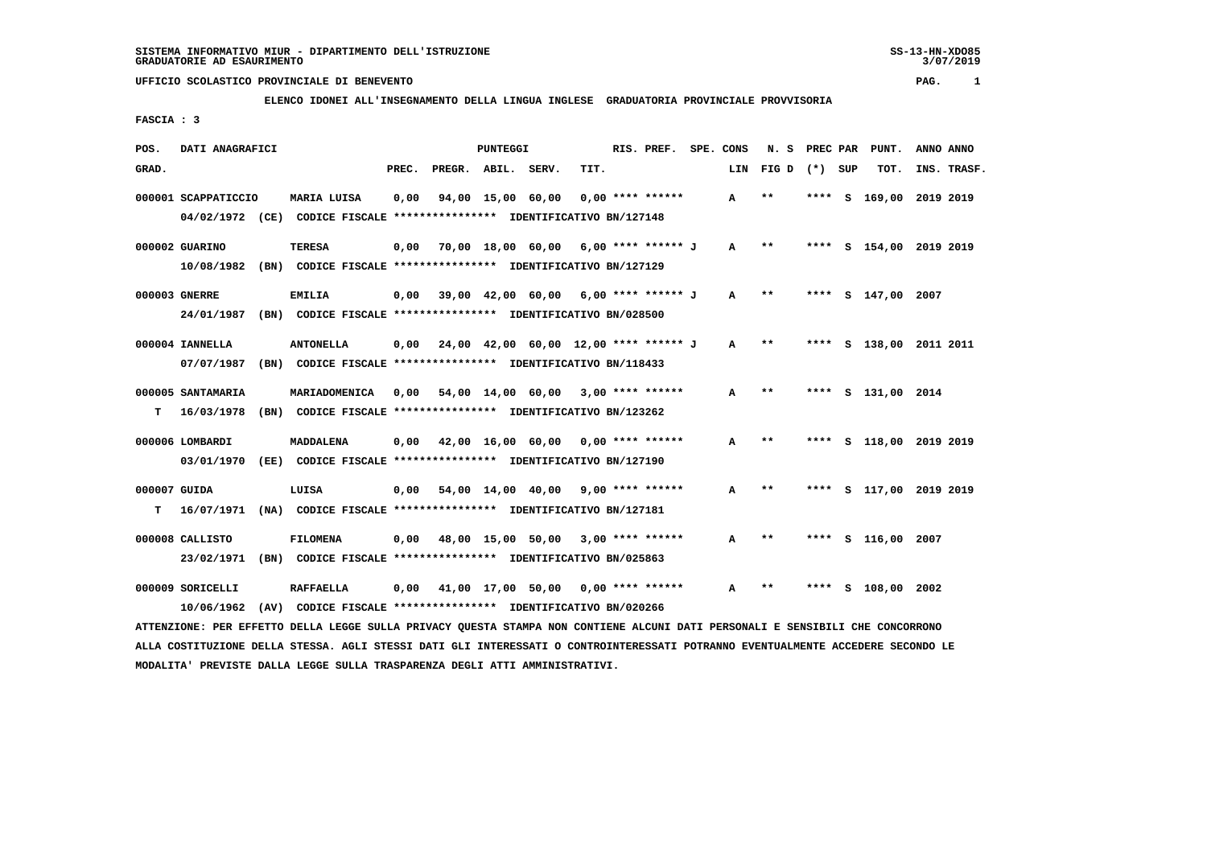# **ELENCO IDONEI ALL'INSEGNAMENTO DELLA LINGUA INGLESE GRADUATORIA PROVINCIALE PROVVISORIA**

 **FASCIA : 3**

| POS.  | DATI ANAGRAFICI     |      |                                                                         | PUNTEGGI |                                       |                   |                                      |      | RIS. PREF.         | SPE. CONS    | N. S            | PREC PAR |    | PUNT.                   |           | ANNO ANNO   |
|-------|---------------------|------|-------------------------------------------------------------------------|----------|---------------------------------------|-------------------|--------------------------------------|------|--------------------|--------------|-----------------|----------|----|-------------------------|-----------|-------------|
| GRAD. |                     |      |                                                                         | PREC.    | PREGR. ABIL.                          |                   | SERV.                                | TIT. |                    | LIN          | FIG D $(*)$ SUP |          |    | TOT.                    |           | INS. TRASF. |
|       | 000001 SCAPPATICCIO |      | MARIA LUISA                                                             | 0,00     |                                       | 94,00 15,00 60,00 |                                      |      | $0.00$ **** ****** | A            | **              |          |    | **** S 169,00           | 2019 2019 |             |
|       |                     |      | 04/02/1972 (CE) CODICE FISCALE *************** IDENTIFICATIVO BN/127148 |          |                                       |                   |                                      |      |                    |              |                 |          |    |                         |           |             |
|       | 000002 GUARINO      |      | TERESA                                                                  | 0.00     |                                       |                   | 70,00 18,00 60,00 6,00 **** ****** J |      |                    | A            | $**$            | ****     |    | S 154,00 2019 2019      |           |             |
|       | 10/08/1982          |      | (BN) CODICE FISCALE **************** IDENTIFICATIVO BN/127129           |          |                                       |                   |                                      |      |                    |              |                 |          |    |                         |           |             |
|       | 000003 GNERRE       |      | <b>EMILIA</b>                                                           | 0.00     | 39,00 42,00 60,00 6,00 **** ****** J  |                   |                                      |      |                    | A            | $* *$           | ****     |    | S 147,00 2007           |           |             |
|       | 24/01/1987          |      | (BN) CODICE FISCALE **************** IDENTIFICATIVO BN/028500           |          |                                       |                   |                                      |      |                    |              |                 |          |    |                         |           |             |
|       | 000004 IANNELLA     |      | <b>ANTONELLA</b>                                                        | 0.00     | 24,00 42,00 60,00 12,00 **** ****** J |                   |                                      |      |                    | A            | $***$           |          |    | **** S 138,00 2011 2011 |           |             |
|       | 07/07/1987          |      | (BN) CODICE FISCALE **************** IDENTIFICATIVO BN/118433           |          |                                       |                   |                                      |      |                    |              |                 |          |    |                         |           |             |
|       | 000005 SANTAMARIA   |      | MARIADOMENICA                                                           | 0.00     |                                       |                   | 54,00 14,00 60,00 3,00 **** ******   |      |                    | A            | **              | ****     |    | S 131,00 2014           |           |             |
| т     | 16/03/1978          |      | (BN) CODICE FISCALE **************** IDENTIFICATIVO BN/123262           |          |                                       |                   |                                      |      |                    |              |                 |          |    |                         |           |             |
|       | 000006 LOMBARDI     |      | MADDALENA                                                               | 0,00     | 42,00 16,00 60,00                     |                   |                                      |      | $0.00$ **** ****** | A            | **              |          |    | **** S 118,00 2019 2019 |           |             |
|       | 03/01/1970          |      | (EE) CODICE FISCALE **************** IDENTIFICATIVO BN/127190           |          |                                       |                   |                                      |      |                    |              |                 |          |    |                         |           |             |
|       | 000007 GUIDA        |      | LUISA                                                                   | 0,00     |                                       |                   | 54,00 14,00 40,00                    |      | $9,00$ **** ****** | $\mathbf{A}$ | $***$           | ****     |    | S 117,00 2019 2019      |           |             |
| т     | 16/07/1971          |      | (NA) CODICE FISCALE **************** IDENTIFICATIVO BN/127181           |          |                                       |                   |                                      |      |                    |              |                 |          |    |                         |           |             |
|       | 000008 CALLISTO     |      | <b>FILOMENA</b>                                                         | 0,00     |                                       |                   | 48,00 15,00 50,00                    |      | $3,00$ **** ****** | A            | **              | ****     | s. | 116,00 2007             |           |             |
|       | 23/02/1971          |      | (BN) CODICE FISCALE **************** IDENTIFICATIVO BN/025863           |          |                                       |                   |                                      |      |                    |              |                 |          |    |                         |           |             |
|       |                     |      |                                                                         |          |                                       |                   |                                      |      |                    |              |                 |          |    |                         |           |             |
|       | 000009 SORICELLI    |      | <b>RAFFAELLA</b>                                                        | 0,00     | 41,00 17,00 50,00 0,00 **** ******    |                   |                                      |      |                    | A            | $* *$           | ****     | s  | 108,00 2002             |           |             |
|       | 10/06/1962          | (AV) | CODICE FISCALE **************** IDENTIFICATIVO BN/020266                |          |                                       |                   |                                      |      |                    |              |                 |          |    |                         |           |             |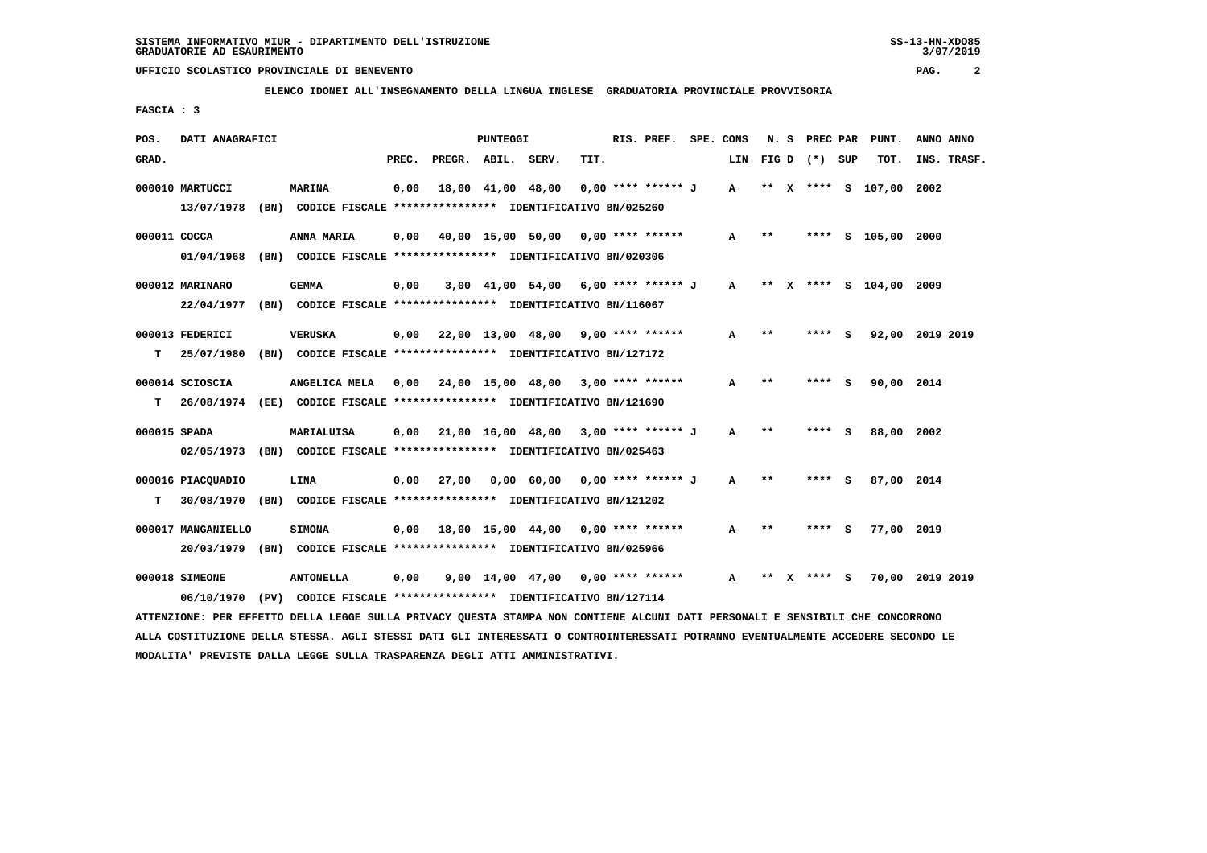**ELENCO IDONEI ALL'INSEGNAMENTO DELLA LINGUA INGLESE GRADUATORIA PROVINCIALE PROVVISORIA**

 **FASCIA : 3**

| POS.  | DATI ANAGRAFICI    |                                                                                                                               |       |                                             | PUNTEGGI |                                                               |      | RIS. PREF. SPE. CONS |              |       |                  | N. S PREC PAR PUNT.         | ANNO ANNO   |
|-------|--------------------|-------------------------------------------------------------------------------------------------------------------------------|-------|---------------------------------------------|----------|---------------------------------------------------------------|------|----------------------|--------------|-------|------------------|-----------------------------|-------------|
| GRAD. |                    |                                                                                                                               | PREC. | PREGR. ABIL. SERV.                          |          |                                                               | TIT. |                      |              |       | LIN FIGD (*) SUP | TOT.                        | INS. TRASF. |
|       | 000010 MARTUCCI    | MARINA                                                                                                                        | 0,00  |                                             |          | 18,00 41,00 48,00 0,00 **** ******* J                         |      |                      | $\mathbf{A}$ |       |                  | ** X **** S 107,00 2002     |             |
|       |                    | 13/07/1978 (BN) CODICE FISCALE *************** IDENTIFICATIVO BN/025260                                                       |       |                                             |          |                                                               |      |                      |              |       |                  |                             |             |
|       | 000011 COCCA       | ANNA MARIA                                                                                                                    |       | 0,00 40,00 15,00 50,00 0,00 **** ******     |          |                                                               |      |                      | $\mathbf{A}$ | $***$ |                  | **** S 105,00 2000          |             |
|       |                    | 01/04/1968 (BN) CODICE FISCALE *************** IDENTIFICATIVO BN/020306                                                       |       |                                             |          |                                                               |      |                      |              |       |                  |                             |             |
|       | 000012 MARINARO    | <b>GEMMA</b>                                                                                                                  | 0,00  |                                             |          | 3,00 41,00 54,00 6,00 **** ****** J A ** X **** S 104,00 2009 |      |                      |              |       |                  |                             |             |
|       |                    | 22/04/1977 (BN) CODICE FISCALE *************** IDENTIFICATIVO BN/116067                                                       |       |                                             |          |                                                               |      |                      |              |       |                  |                             |             |
|       | 000013 FEDERICI    | <b>VERUSKA</b>                                                                                                                |       | $0,00$ 22,00 13,00 48,00 9,00 **** ******   |          |                                                               |      |                      | A            | $***$ | **** S           | 92,00 2019 2019             |             |
| т     | 25/07/1980         | (BN) CODICE FISCALE **************** IDENTIFICATIVO BN/127172                                                                 |       |                                             |          |                                                               |      |                      |              |       |                  |                             |             |
|       | 000014 SCIOSCIA    | ANGELICA MELA 0,00 24,00 15,00 48,00 3,00 **** ******                                                                         |       |                                             |          |                                                               |      |                      | A            | $* *$ | **** S           | 90,00 2014                  |             |
| T.    |                    | 26/08/1974 (EE) CODICE FISCALE **************** IDENTIFICATIVO BN/121690                                                      |       |                                             |          |                                                               |      |                      |              |       |                  |                             |             |
|       | 000015 SPADA       | <b>MARIALUISA</b>                                                                                                             |       | $0,00$ 21,00 16,00 48,00 3,00 **** ****** J |          |                                                               |      |                      | $\mathbf{A}$ | $**$  | **** S           | 88,00 2002                  |             |
|       |                    | 02/05/1973 (BN) CODICE FISCALE *************** IDENTIFICATIVO BN/025463                                                       |       |                                             |          |                                                               |      |                      |              |       |                  |                             |             |
|       | 000016 PIACQUADIO  | <b>LINA</b>                                                                                                                   | 0,00  |                                             |          | 27,00 0,00 60,00 0,00 **** ****** J                           |      |                      | A            | $* *$ | **** S           | 87,00 2014                  |             |
| т     |                    | 30/08/1970 (BN) CODICE FISCALE **************** IDENTIFICATIVO BN/121202                                                      |       |                                             |          |                                                               |      |                      |              |       |                  |                             |             |
|       | 000017 MANGANIELLO | <b>SIMONA</b>                                                                                                                 |       | $0,00$ 18,00 15,00 44,00 0,00 **** ******   |          |                                                               |      |                      | A            | $***$ | **** S           | 77,00 2019                  |             |
|       |                    | 20/03/1979 (BN) CODICE FISCALE *************** IDENTIFICATIVO BN/025966                                                       |       |                                             |          |                                                               |      |                      |              |       |                  |                             |             |
|       | 000018 SIMEONE     | <b>ANTONELLA</b>                                                                                                              | 0,00  |                                             |          | 9,00 14,00 47,00 0,00 **** ****** A                           |      |                      |              |       |                  | ** X **** S 70,00 2019 2019 |             |
|       | 06/10/1970         | (PV) CODICE FISCALE **************** IDENTIFICATIVO BN/127114                                                                 |       |                                             |          |                                                               |      |                      |              |       |                  |                             |             |
|       |                    | ATTENZIONE: PER EFFETTO DELLA LEGGE SULLA PRIVACY OUESTA STAMPA NON CONTIENE ALCUNI DATI PERSONALI E SENSIBILI CHE CONCORRONO |       |                                             |          |                                                               |      |                      |              |       |                  |                             |             |

 **ALLA COSTITUZIONE DELLA STESSA. AGLI STESSI DATI GLI INTERESSATI O CONTROINTERESSATI POTRANNO EVENTUALMENTE ACCEDERE SECONDO LE MODALITA' PREVISTE DALLA LEGGE SULLA TRASPARENZA DEGLI ATTI AMMINISTRATIVI.**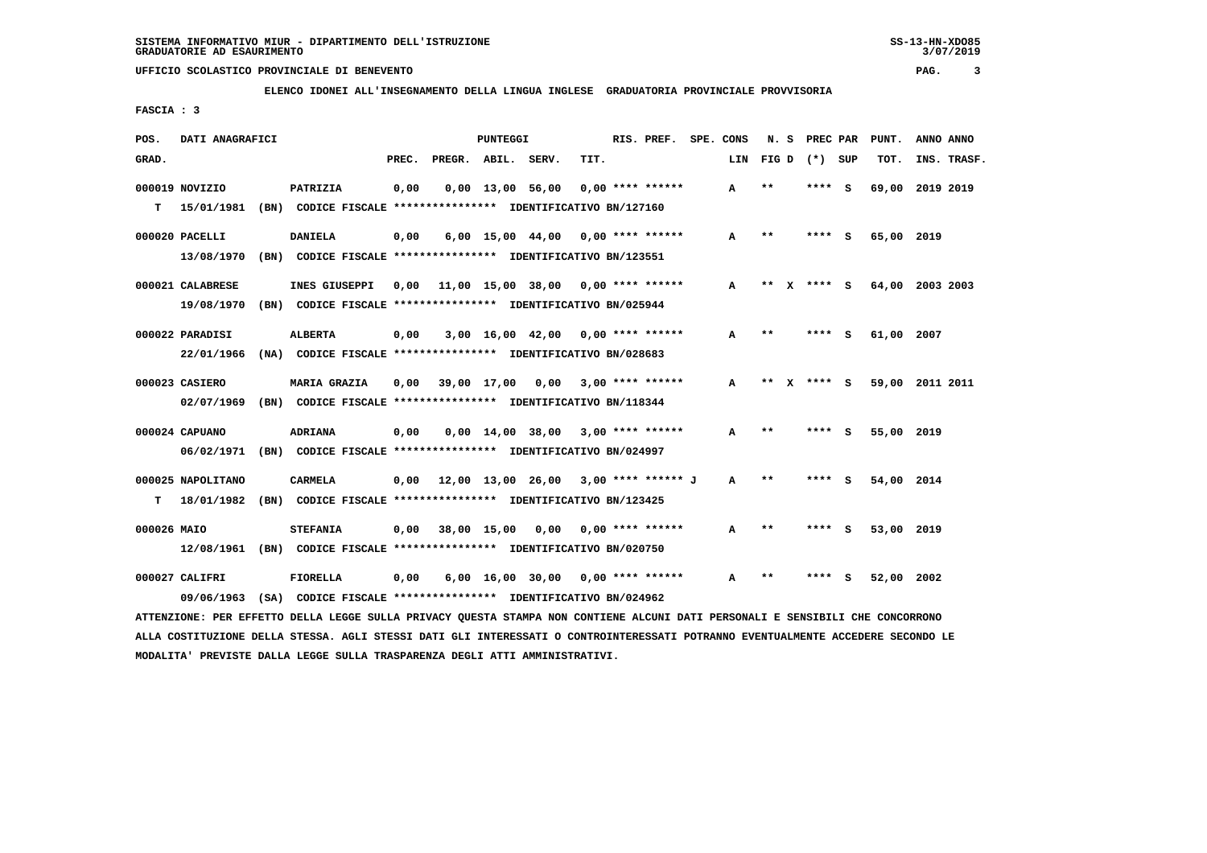**ELENCO IDONEI ALL'INSEGNAMENTO DELLA LINGUA INGLESE GRADUATORIA PROVINCIALE PROVVISORIA**

 **FASCIA : 3**

| POS.        | DATI ANAGRAFICI   |                                                               |       | <b>PUNTEGGI</b>    |  |                                      | RIS. PREF. | SPE. CONS        |  | N. S         | PREC PAR    |                 | PUNT. | ANNO ANNO  |                 |
|-------------|-------------------|---------------------------------------------------------------|-------|--------------------|--|--------------------------------------|------------|------------------|--|--------------|-------------|-----------------|-------|------------|-----------------|
| GRAD.       |                   |                                                               | PREC. | PREGR. ABIL. SERV. |  |                                      | TIT.       |                  |  | LIN          |             | FIG D $(*)$ SUP |       | TOT.       | INS. TRASF.     |
|             | 000019 NOVIZIO    | PATRIZIA                                                      | 0,00  |                    |  | $0,00$ 13,00 56,00                   |            | 0,00 **** ****** |  | A            | $* *$       | ****            | - S   | 69,00      | 2019 2019       |
| т           | 15/01/1981        | (BN) CODICE FISCALE **************** IDENTIFICATIVO BN/127160 |       |                    |  |                                      |            |                  |  |              |             |                 |       |            |                 |
|             | 000020 PACELLI    | <b>DANIELA</b>                                                | 0,00  |                    |  | $6,00$ 15,00 44,00 0,00 **** ******  |            |                  |  | A            | $* *$       | **** S          |       | 65,00 2019 |                 |
|             | 13/08/1970        | (BN) CODICE FISCALE **************** IDENTIFICATIVO BN/123551 |       |                    |  |                                      |            |                  |  |              |             |                 |       |            |                 |
|             | 000021 CALABRESE  | INES GIUSEPPI                                                 | 0,00  |                    |  | 11,00 15,00 38,00 0,00 **** ******   |            |                  |  | A            | **          | **** S          |       |            | 64,00 2003 2003 |
|             | 19/08/1970        | (BN) CODICE FISCALE **************** IDENTIFICATIVO BN/025944 |       |                    |  |                                      |            |                  |  |              |             |                 |       |            |                 |
|             | 000022 PARADISI   | <b>ALBERTA</b>                                                | 0,00  |                    |  | $3,00$ 16,00 42,00 0,00 **** ******  |            |                  |  | A            | $**$        | **** S          |       | 61,00 2007 |                 |
|             | 22/01/1966        | (NA) CODICE FISCALE **************** IDENTIFICATIVO BN/028683 |       |                    |  |                                      |            |                  |  |              |             |                 |       |            |                 |
|             | 000023 CASIERO    | <b>MARIA GRAZIA</b>                                           | 0,00  | 39,00 17,00 0,00   |  |                                      |            | 3,00 **** ****** |  | A            | $***$<br>X. | **** S          |       |            | 59,00 2011 2011 |
|             | 02/07/1969        | (BN) CODICE FISCALE **************** IDENTIFICATIVO BN/118344 |       |                    |  |                                      |            |                  |  |              |             |                 |       |            |                 |
|             | 000024 CAPUANO    | ADRIANA                                                       | 0,00  |                    |  | $0.00$ 14.00 38.00 3.00 **** ******  |            |                  |  | A            | $***$       | **** S          |       | 55,00 2019 |                 |
|             | 06/02/1971        | (BN) CODICE FISCALE **************** IDENTIFICATIVO BN/024997 |       |                    |  |                                      |            |                  |  |              |             |                 |       |            |                 |
|             | 000025 NAPOLITANO | <b>CARMELA</b>                                                | 0,00  |                    |  | 12,00 13,00 26,00 3,00 **** ****** J |            |                  |  | $\mathbf{A}$ | $***$       | **** S          |       | 54,00 2014 |                 |
| т           | 18/01/1982        | (BN) CODICE FISCALE **************** IDENTIFICATIVO BN/123425 |       |                    |  |                                      |            |                  |  |              |             |                 |       |            |                 |
| 000026 MAIO |                   | <b>STEFANIA</b>                                               | 0.00  |                    |  | 38,00 15,00 0,00 0,00 **** ******    |            |                  |  | А            | $* *$       | ****            | - S   | 53,00 2019 |                 |
|             | 12/08/1961        | (BN) CODICE FISCALE **************** IDENTIFICATIVO BN/020750 |       |                    |  |                                      |            |                  |  |              |             |                 |       |            |                 |
|             | 000027 CALIFRI    | <b>FIORELLA</b>                                               | 0,00  |                    |  | $6,00$ 16,00 30,00 0,00 **** ******  |            |                  |  | A            | **          |                 | s     | 52,00 2002 |                 |
|             | 09/06/1963        | (SA) CODICE FISCALE **************** IDENTIFICATIVO BN/024962 |       |                    |  |                                      |            |                  |  |              |             |                 |       |            |                 |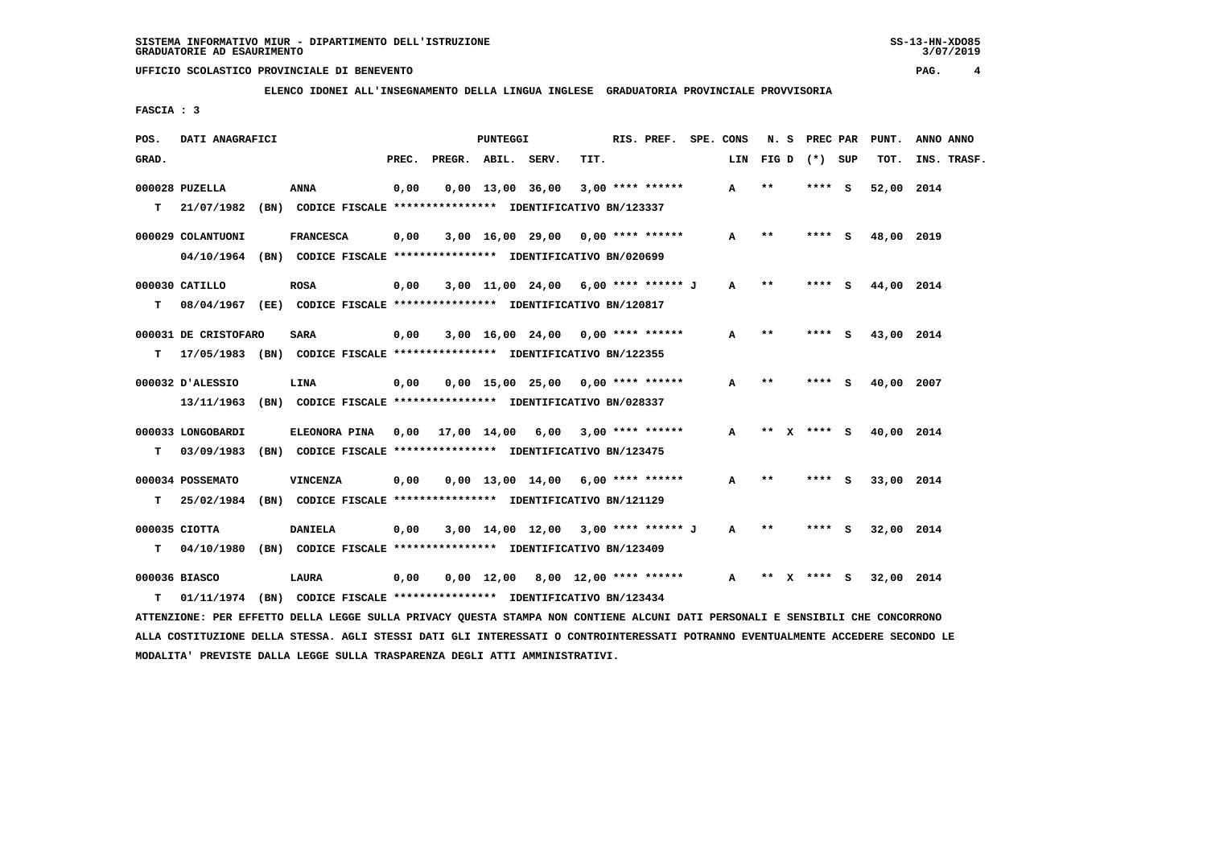**ELENCO IDONEI ALL'INSEGNAMENTO DELLA LINGUA INGLESE GRADUATORIA PROVINCIALE PROVVISORIA**

 **FASCIA : 3**

| POS.  | DATI ANAGRAFICI      |                                                                                                                               |       |                    | PUNTEGGI |      | RIS. PREF. SPE. CONS                |              |                   |               |     | N. S PREC PAR PUNT. | ANNO ANNO   |
|-------|----------------------|-------------------------------------------------------------------------------------------------------------------------------|-------|--------------------|----------|------|-------------------------------------|--------------|-------------------|---------------|-----|---------------------|-------------|
| GRAD. |                      |                                                                                                                               | PREC. | PREGR. ABIL. SERV. |          | TIT. |                                     |              | LIN FIG D (*) SUP |               |     | TOT.                | INS. TRASF. |
|       | 000028 PUZELLA       | <b>ANNA</b>                                                                                                                   | 0,00  |                    |          |      | $0,00$ 13,00 36,00 3,00 **** ****** | $\mathbf{A}$ | $**$              | ****          | - S | 52,00 2014          |             |
|       |                      | T 21/07/1982 (BN) CODICE FISCALE *************** IDENTIFICATIVO BN/123337                                                     |       |                    |          |      |                                     |              |                   |               |     |                     |             |
|       | 000029 COLANTUONI    | <b>FRANCESCA</b>                                                                                                              | 0,00  |                    |          |      | $3,00$ 16,00 29,00 0,00 **** ****** | A            | $* *$             | **** S        |     | 48,00 2019          |             |
|       |                      | 04/10/1964 (BN) CODICE FISCALE *************** IDENTIFICATIVO BN/020699                                                       |       |                    |          |      |                                     |              |                   |               |     |                     |             |
|       | 000030 CATILLO       | <b>ROSA</b>                                                                                                                   | 0,00  |                    |          |      | 3,00 11,00 24,00 6,00 **** ****** J | A            | $* *$             | **** S        |     | 44,00 2014          |             |
| T.    |                      | 08/04/1967 (EE) CODICE FISCALE *************** IDENTIFICATIVO BN/120817                                                       |       |                    |          |      |                                     |              |                   |               |     |                     |             |
|       | 000031 DE CRISTOFARO | <b>SARA</b>                                                                                                                   | 0,00  |                    |          |      | $3,00$ 16,00 24,00 0,00 **** ****** | $\mathbf{A}$ | $***$             | **** S        |     | 43,00 2014          |             |
| T.    |                      | 17/05/1983 (BN) CODICE FISCALE *************** IDENTIFICATIVO BN/122355                                                       |       |                    |          |      |                                     |              |                   |               |     |                     |             |
|       | 000032 D'ALESSIO     | LINA                                                                                                                          | 0,00  |                    |          |      | $0,00$ 15,00 25,00 0,00 **** ****** | A            | $***$             | **** S        |     | 40,00 2007          |             |
|       |                      | 13/11/1963 (BN) CODICE FISCALE *************** IDENTIFICATIVO BN/028337                                                       |       |                    |          |      |                                     |              |                   |               |     |                     |             |
|       | 000033 LONGOBARDI    | ELEONORA PINA 0,00 17,00 14,00 6,00 3,00 **** ******                                                                          |       |                    |          |      |                                     | A            |                   | ** x **** s   |     | 40,00 2014          |             |
| T.    |                      | 03/09/1983 (BN) CODICE FISCALE *************** IDENTIFICATIVO BN/123475                                                       |       |                    |          |      |                                     |              |                   |               |     |                     |             |
|       | 000034 POSSEMATO     | <b>VINCENZA</b>                                                                                                               | 0,00  |                    |          |      | $0.00$ 13.00 14.00 6.00 **** ****** | A            | $* *$             | **** S        |     | 33,00 2014          |             |
| T.    |                      | 25/02/1984 (BN) CODICE FISCALE *************** IDENTIFICATIVO BN/121129                                                       |       |                    |          |      |                                     |              |                   |               |     |                     |             |
|       | $000035$ CIOTTA      | <b>DANIELA</b>                                                                                                                | 0,00  |                    |          |      | 3,00 14,00 12,00 3,00 **** ****** J | $\mathbf{A}$ | $***$             | $***$ S       |     | 32,00 2014          |             |
| T.    |                      | 04/10/1980 (BN) CODICE FISCALE **************** IDENTIFICATIVO BN/123409                                                      |       |                    |          |      |                                     |              |                   |               |     |                     |             |
|       | 000036 BIASCO        | LAURA                                                                                                                         | 0,00  |                    |          |      | $0,00$ 12,00 8,00 12,00 **** ****** | A            |                   | ** $X$ **** S |     | 32,00 2014          |             |
| т     |                      | 01/11/1974 (BN) CODICE FISCALE *************** IDENTIFICATIVO BN/123434                                                       |       |                    |          |      |                                     |              |                   |               |     |                     |             |
|       |                      | ATTENZIONE: PER EFFETTO DELLA LEGGE SULLA PRIVACY OUESTA STAMPA NON CONTIENE ALCUNI DATI PERSONALI E SENSIBILI CHE CONCORRONO |       |                    |          |      |                                     |              |                   |               |     |                     |             |

 **ALLA COSTITUZIONE DELLA STESSA. AGLI STESSI DATI GLI INTERESSATI O CONTROINTERESSATI POTRANNO EVENTUALMENTE ACCEDERE SECONDO LE MODALITA' PREVISTE DALLA LEGGE SULLA TRASPARENZA DEGLI ATTI AMMINISTRATIVI.**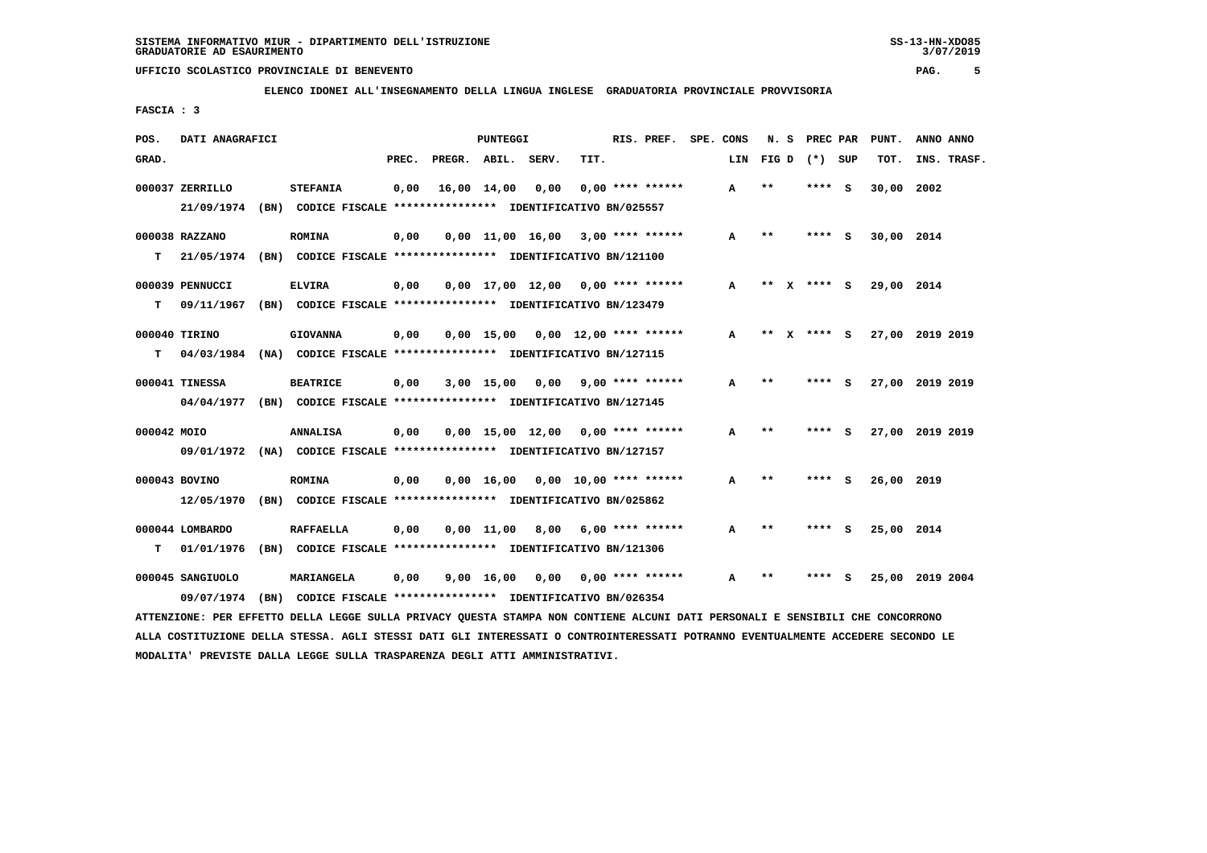**ELENCO IDONEI ALL'INSEGNAMENTO DELLA LINGUA INGLESE GRADUATORIA PROVINCIALE PROVVISORIA**

 **FASCIA : 3**

| POS.        | DATI ANAGRAFICI  |                                                                                                                               |       |                    | PUNTEGGI   |                  |                                       | RIS. PREF. SPE. CONS |   | N.S   |   | PREC PAR          |     | PUNT.      | ANNO ANNO       |
|-------------|------------------|-------------------------------------------------------------------------------------------------------------------------------|-------|--------------------|------------|------------------|---------------------------------------|----------------------|---|-------|---|-------------------|-----|------------|-----------------|
| GRAD.       |                  |                                                                                                                               | PREC. | PREGR. ABIL. SERV. |            |                  | TIT.                                  |                      |   |       |   | LIN FIG D (*) SUP |     | TOT.       | INS. TRASF.     |
|             | 000037 ZERRILLO  | <b>STEFANIA</b>                                                                                                               | 0,00  |                    |            | 16,00 14,00 0,00 |                                       | $0.00$ **** ******   | A | $***$ |   | ****              | - 5 | 30,00      | 2002            |
|             | 21/09/1974       | (BN) CODICE FISCALE **************** IDENTIFICATIVO BN/025557                                                                 |       |                    |            |                  |                                       |                      |   |       |   |                   |     |            |                 |
|             | 000038 RAZZANO   | <b>ROMINA</b>                                                                                                                 | 0,00  |                    |            |                  | $0.00$ 11.00 16.00 3.00 **** ******   |                      | A | $* *$ |   | ****              | - S | 30,00 2014 |                 |
|             |                  | T 21/05/1974 (BN) CODICE FISCALE *************** IDENTIFICATIVO BN/121100                                                     |       |                    |            |                  |                                       |                      |   |       |   |                   |     |            |                 |
|             | 000039 PENNUCCI  | <b>ELVIRA</b>                                                                                                                 | 0,00  |                    |            |                  | $0.00$ 17.00 12.00 0.00 **** ******   |                      | A |       |   | ** x **** S       |     | 29,00 2014 |                 |
| т           | 09/11/1967       | (BN) CODICE FISCALE *************** IDENTIFICATIVO BN/123479                                                                  |       |                    |            |                  |                                       |                      |   |       |   |                   |     |            |                 |
|             | 000040 TIRINO    | <b>GIOVANNA</b>                                                                                                               | 0,00  |                    |            |                  | $0.00$ 15.00 $0.00$ 12.00 **** ****** |                      | A | **    | x | $***$ S           |     |            | 27,00 2019 2019 |
| т           | 04/03/1984       | (NA) CODICE FISCALE **************** IDENTIFICATIVO BN/127115                                                                 |       |                    |            |                  |                                       |                      |   |       |   |                   |     |            |                 |
|             | 000041 TINESSA   | <b>BEATRICE</b>                                                                                                               | 0,00  |                    |            |                  | $3,00$ 15,00 0,00 9,00 **** ******    |                      | А | $***$ |   | ****              | - S |            | 27,00 2019 2019 |
|             |                  | 04/04/1977 (BN) CODICE FISCALE *************** IDENTIFICATIVO BN/127145                                                       |       |                    |            |                  |                                       |                      |   |       |   |                   |     |            |                 |
| 000042 MOIO |                  | ANNALISA                                                                                                                      | 0,00  |                    |            |                  | $0,00$ 15,00 12,00 0,00 **** ******   |                      | A | $***$ |   | **** S            |     |            | 27,00 2019 2019 |
|             |                  | 09/01/1972 (NA) CODICE FISCALE *************** IDENTIFICATIVO BN/127157                                                       |       |                    |            |                  |                                       |                      |   |       |   |                   |     |            |                 |
|             | 000043 BOVINO    | <b>ROMINA</b>                                                                                                                 | 0,00  |                    |            |                  | $0.00$ 16.00 0.00 10.00 **** ******   |                      | A | $* *$ |   | ****              | - S | 26,00 2019 |                 |
|             | 12/05/1970       | (BN) CODICE FISCALE **************** IDENTIFICATIVO BN/025862                                                                 |       |                    |            |                  |                                       |                      |   |       |   |                   |     |            |                 |
|             | 000044 LOMBARDO  | <b>RAFFAELLA</b>                                                                                                              | 0,00  |                    |            |                  | $0.00$ 11.00 8.00 6.00 **** ******    |                      | A | $**$  |   | **** S            |     | 25,00 2014 |                 |
| т           | 01/01/1976       | (BN) CODICE FISCALE **************** IDENTIFICATIVO BN/121306                                                                 |       |                    |            |                  |                                       |                      |   |       |   |                   |     |            |                 |
|             | 000045 SANGIUOLO | MARIANGELA                                                                                                                    | 0,00  |                    | 9,00 16,00 |                  | $0.00$ $0.00$ **** ******             |                      | A | $* *$ |   |                   | s   |            | 25,00 2019 2004 |
|             | 09/07/1974       | (BN) CODICE FISCALE **************** IDENTIFICATIVO BN/026354                                                                 |       |                    |            |                  |                                       |                      |   |       |   |                   |     |            |                 |
|             |                  | ATTENZIONE: PER EFFETTO DELLA LEGGE SULLA PRIVACY QUESTA STAMPA NON CONTIENE ALCUNI DATI PERSONALI E SENSIBILI CHE CONCORRONO |       |                    |            |                  |                                       |                      |   |       |   |                   |     |            |                 |

 **ALLA COSTITUZIONE DELLA STESSA. AGLI STESSI DATI GLI INTERESSATI O CONTROINTERESSATI POTRANNO EVENTUALMENTE ACCEDERE SECONDO LE MODALITA' PREVISTE DALLA LEGGE SULLA TRASPARENZA DEGLI ATTI AMMINISTRATIVI.**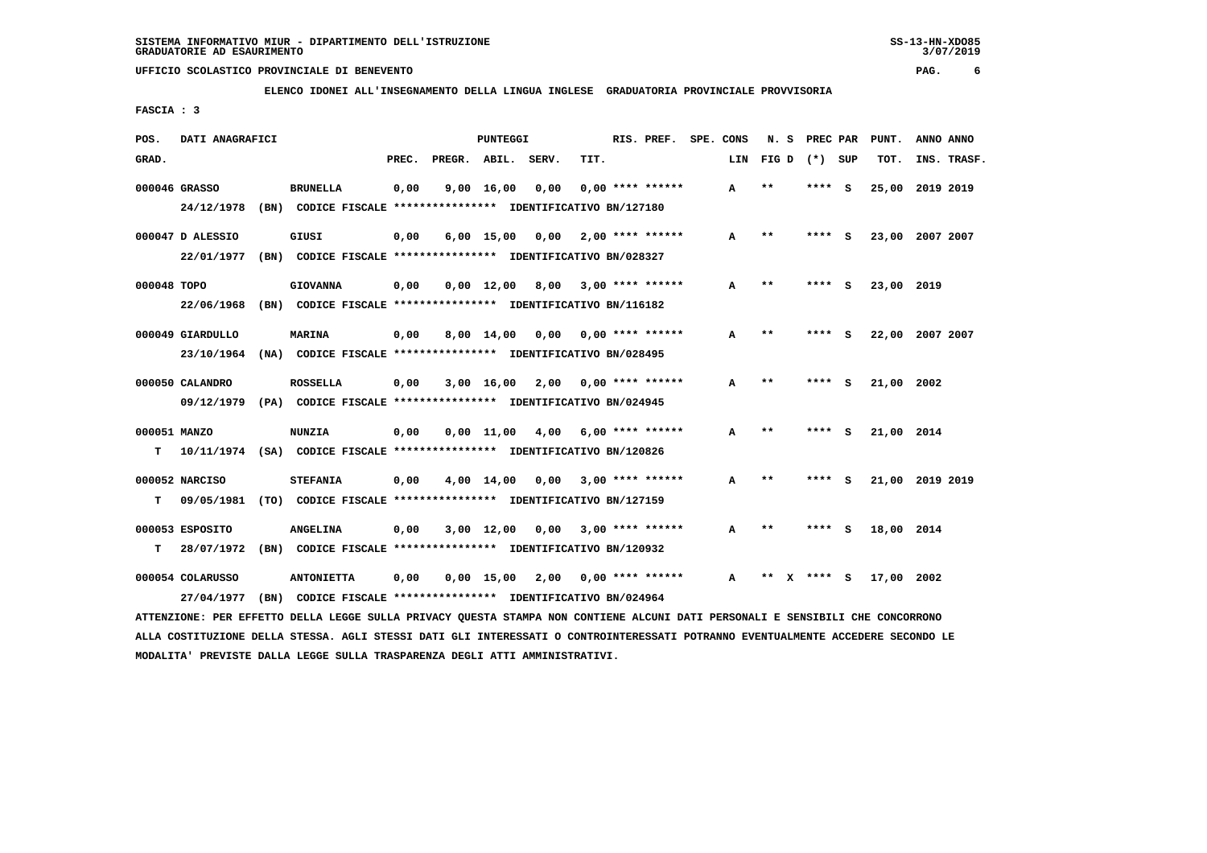**ELENCO IDONEI ALL'INSEGNAMENTO DELLA LINGUA INGLESE GRADUATORIA PROVINCIALE PROVVISORIA**

 **FASCIA : 3**

| POS.         | DATI ANAGRAFICI  |                                                                          |       |              | <b>PUNTEGGI</b> |                                    | RIS. PREF. | SPE. CONS          |  | N.S |       | PREC PAR | PUNT.        | ANNO ANNO       |           |             |
|--------------|------------------|--------------------------------------------------------------------------|-------|--------------|-----------------|------------------------------------|------------|--------------------|--|-----|-------|----------|--------------|-----------------|-----------|-------------|
| GRAD.        |                  |                                                                          | PREC. | PREGR. ABIL. |                 | SERV.                              | TIT.       |                    |  | LIN | FIG D | $(*)$    | SUP          | TOT.            |           | INS. TRASF. |
|              | 000046 GRASSO    | <b>BRUNELLA</b>                                                          | 0,00  |              | 9,00 16,00      | 0,00                               |            | $0,00$ **** ****** |  | A   | $* *$ | ****     | - S          | 25,00           | 2019 2019 |             |
|              | 24/12/1978       | (BN) CODICE FISCALE **************** IDENTIFICATIVO BN/127180            |       |              |                 |                                    |            |                    |  |     |       |          |              |                 |           |             |
|              | 000047 D ALESSIO | GIUSI                                                                    | 0,00  |              | $6,00$ 15,00    | $0,00$ 2,00 **** ******            |            |                    |  | А   | $***$ | ****     | s            | 23,00 2007 2007 |           |             |
|              | 22/01/1977       | (BN) CODICE FISCALE **************** IDENTIFICATIVO BN/028327            |       |              |                 |                                    |            |                    |  |     |       |          |              |                 |           |             |
| 000048 TOPO  |                  | <b>GIOVANNA</b>                                                          | 0,00  |              | $0.00$ 12.00    | 8,00 3,00 **** ******              |            |                    |  | A   | **    | ****     | $\mathbf{s}$ | 23,00 2019      |           |             |
|              | 22/06/1968       | (BN) CODICE FISCALE **************** IDENTIFICATIVO BN/116182            |       |              |                 |                                    |            |                    |  |     |       |          |              |                 |           |             |
|              | 000049 GIARDULLO | <b>MARINA</b>                                                            | 0,00  |              | 8,00 14,00      | 0,00                               |            | $0.00$ **** ****** |  | A   | $* *$ | **** S   |              | 22,00 2007 2007 |           |             |
|              | 23/10/1964       | (NA) CODICE FISCALE **************** IDENTIFICATIVO BN/028495            |       |              |                 |                                    |            |                    |  |     |       |          |              |                 |           |             |
|              | 000050 CALANDRO  | <b>ROSSELLA</b>                                                          | 0,00  |              |                 | 3,00 16,00 2,00                    |            | $0.00$ **** ****** |  | A   | $* *$ | **** S   |              | 21,00 2002      |           |             |
|              |                  | 09/12/1979 (PA) CODICE FISCALE *************** IDENTIFICATIVO BN/024945  |       |              |                 |                                    |            |                    |  |     |       |          |              |                 |           |             |
| 000051 MANZO |                  | <b>NUNZIA</b>                                                            | 0,00  |              |                 | $0.00$ 11.00 4.00 6.00 **** ****** |            |                    |  | A   | $* *$ | **** S   |              | 21,00 2014      |           |             |
| т            |                  | 10/11/1974 (SA) CODICE FISCALE **************** IDENTIFICATIVO BN/120826 |       |              |                 |                                    |            |                    |  |     |       |          |              |                 |           |             |
|              | 000052 NARCISO   | <b>STEFANIA</b>                                                          | 0,00  |              | 4,00 14,00      | 0,00                               |            | $3.00$ **** ****** |  | А   | $***$ | ****     | - S          | 21,00 2019 2019 |           |             |
| т            | 09/05/1981       | (TO) CODICE FISCALE **************** IDENTIFICATIVO BN/127159            |       |              |                 |                                    |            |                    |  |     |       |          |              |                 |           |             |
|              | 000053 ESPOSITO  | <b>ANGELINA</b>                                                          | 0,00  |              | $3,00$ 12,00    | 0,00                               |            | $3,00$ **** ****** |  | А   | * *   | ****     | - S          | 18,00 2014      |           |             |
| т            | 28/07/1972       | (BN) CODICE FISCALE **************** IDENTIFICATIVO BN/120932            |       |              |                 |                                    |            |                    |  |     |       |          |              |                 |           |             |
|              | 000054 COLARUSSO | <b>ANTONIETTA</b>                                                        | 0,00  |              | 0.00 15.00      | 2,00                               |            | $0.00$ **** ****** |  | A   |       | **** S   |              | 17,00           | 2002      |             |
|              | 27/04/1977       | (BN) CODICE FISCALE **************** IDENTIFICATIVO BN/024964            |       |              |                 |                                    |            |                    |  |     |       |          |              |                 |           |             |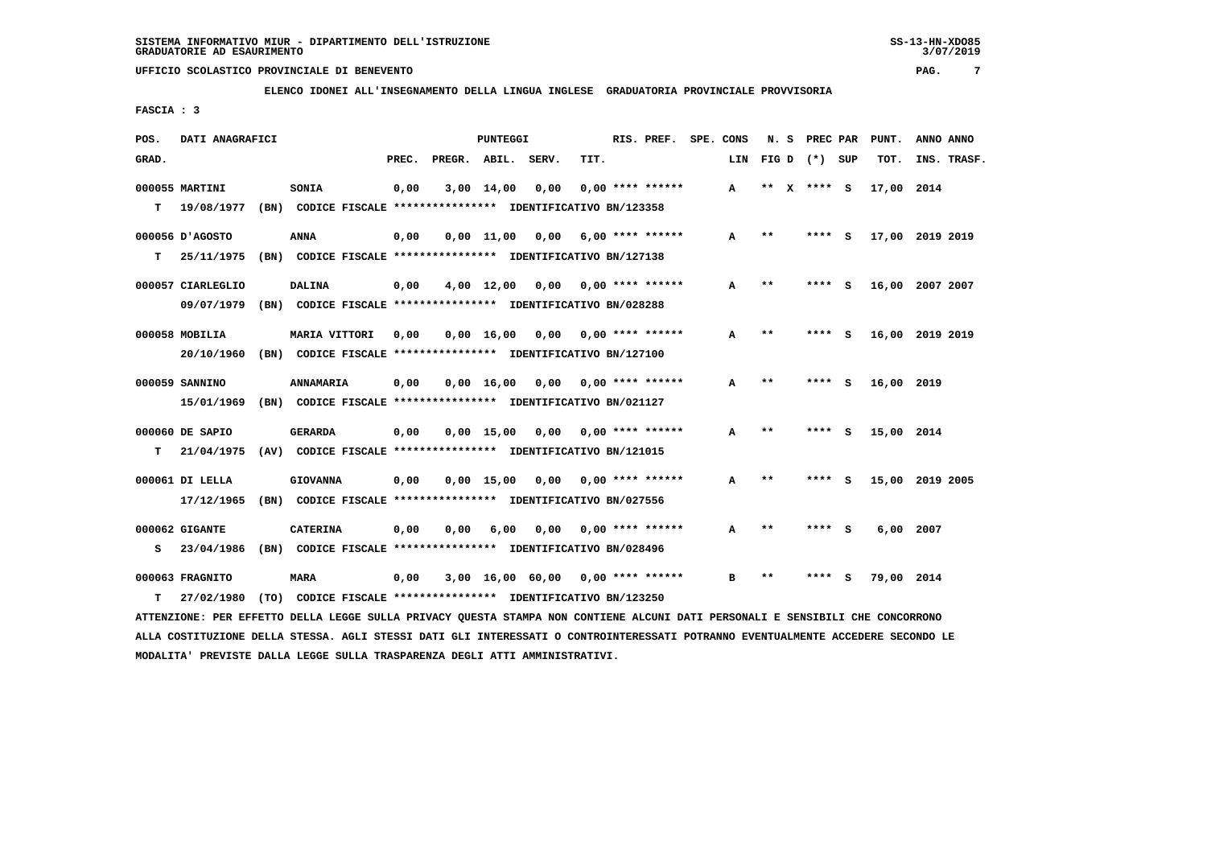**ELENCO IDONEI ALL'INSEGNAMENTO DELLA LINGUA INGLESE GRADUATORIA PROVINCIALE PROVVISORIA**

 **FASCIA : 3**

| POS.  | DATI ANAGRAFICI   |                                                                                                                       |       |              | <b>PUNTEGGI</b>    |                                     |      | RIS. PREF.                | SPE. CONS | N. S       | PREC PAR       |          | PUNT.           | ANNO ANNO |             |
|-------|-------------------|-----------------------------------------------------------------------------------------------------------------------|-------|--------------|--------------------|-------------------------------------|------|---------------------------|-----------|------------|----------------|----------|-----------------|-----------|-------------|
| GRAD. |                   |                                                                                                                       | PREC. | PREGR. ABIL. |                    | SERV.                               | TIT. |                           | LIN       |            | FIGD $(*)$ SUP |          | TOT.            |           | INS. TRASF. |
|       | 000055 MARTINI    | SONIA                                                                                                                 | 0,00  |              | $3,00$ 14,00       | 0.00                                |      | $0.00$ **** ******        | A         | $***$<br>x | **** S         |          | 17,00           | 2014      |             |
| т     | 19/08/1977        | (BN) CODICE FISCALE **************** IDENTIFICATIVO BN/123358                                                         |       |              |                    |                                     |      |                           |           |            |                |          |                 |           |             |
|       |                   |                                                                                                                       |       |              |                    |                                     |      |                           |           |            |                |          |                 |           |             |
|       | 000056 D'AGOSTO   | <b>ANNA</b>                                                                                                           | 0,00  |              | $0,00 \quad 11,00$ | 0,00                                |      | $6.00$ **** ******        | A         | $**$       |                |          | 17,00           | 2019 2019 |             |
| т     | 25/11/1975        | (BN) CODICE FISCALE **************** IDENTIFICATIVO BN/127138                                                         |       |              |                    |                                     |      |                           |           |            |                |          |                 |           |             |
|       | 000057 CIARLEGLIO | <b>DALINA</b>                                                                                                         | 0,00  |              | 4,00 12,00         | 0,00                                |      | 0,00 **** ******          | A         | $**$       | **** S         |          | 16,00 2007 2007 |           |             |
|       | 09/07/1979        | (BN) CODICE FISCALE **************** IDENTIFICATIVO BN/028288                                                         |       |              |                    |                                     |      |                           |           |            |                |          |                 |           |             |
|       |                   |                                                                                                                       |       |              |                    |                                     |      |                           |           |            |                |          |                 |           |             |
|       | 000058 MOBILIA    | MARIA VITTORI                                                                                                         | 0,00  |              | 0,00 16,00         | 0,00                                |      | $0.00$ **** ******        | A         | $* *$      | ****           | - S      | 16,00 2019 2019 |           |             |
|       | 20/10/1960        | (BN) CODICE FISCALE **************** IDENTIFICATIVO BN/127100                                                         |       |              |                    |                                     |      |                           |           |            |                |          |                 |           |             |
|       | 000059 SANNINO    | <b>ANNAMARIA</b>                                                                                                      | 0,00  |              | $0,00 \quad 16,00$ | 0,00                                |      | $0.00$ **** ******        | A         | $* *$      | ****           | - S      | 16,00 2019      |           |             |
|       | 15/01/1969        | (BN) CODICE FISCALE **************** IDENTIFICATIVO BN/021127                                                         |       |              |                    |                                     |      |                           |           |            |                |          |                 |           |             |
|       |                   |                                                                                                                       |       |              |                    |                                     |      |                           |           |            |                |          |                 |           |             |
|       | 000060 DE SAPIO   | <b>GERARDA</b>                                                                                                        | 0,00  |              | 0.00 15.00         |                                     |      | $0.00$ $0.00$ **** ****** | A         | $* *$      | ****           | - S      | 15,00 2014      |           |             |
| T.    | 21/04/1975        | (AV) CODICE FISCALE **************** IDENTIFICATIVO BN/121015                                                         |       |              |                    |                                     |      |                           |           |            |                |          |                 |           |             |
|       | 000061 DI LELLA   | <b>GIOVANNA</b>                                                                                                       | 0,00  |              | $0,00$ 15,00       | 0,00                                |      | 0,00 **** ******          | A         | $* *$      | ****           | - 5      | 15,00 2019 2005 |           |             |
|       | 17/12/1965        | (BN) CODICE FISCALE **************** IDENTIFICATIVO BN/027556                                                         |       |              |                    |                                     |      |                           |           |            |                |          |                 |           |             |
|       |                   |                                                                                                                       |       |              |                    |                                     |      |                           |           |            |                |          |                 |           |             |
|       | 000062 GIGANTE    | <b>CATERINA</b>                                                                                                       | 0,00  | 0.00         | 6,00               | 0.00                                |      | $0.00$ **** ******        | A         | $* *$      | ****           | <b>S</b> | 6,00            | 2007      |             |
| s     | 23/04/1986        | (BN) CODICE FISCALE **************** IDENTIFICATIVO BN/028496                                                         |       |              |                    |                                     |      |                           |           |            |                |          |                 |           |             |
|       | 000063 FRAGNITO   | <b>MARA</b>                                                                                                           | 0,00  |              |                    | $3,00$ 16,00 60,00 0,00 **** ****** |      |                           | в         | $* *$      | ****           | - S      | 79,00 2014      |           |             |
| т     | 27/02/1980        | (TO) CODICE FISCALE **************** IDENTIFICATIVO BN/123250                                                         |       |              |                    |                                     |      |                           |           |            |                |          |                 |           |             |
|       |                   | LANSIFALIS ASA MENGANA ANTIA TUANG AUFLA ANTULAU AUGANA ANALIAA UAU AAUGESUS ALAHIT AANT ANA ANALAHATI AUG AAUGAANAUG |       |              |                    |                                     |      |                           |           |            |                |          |                 |           |             |